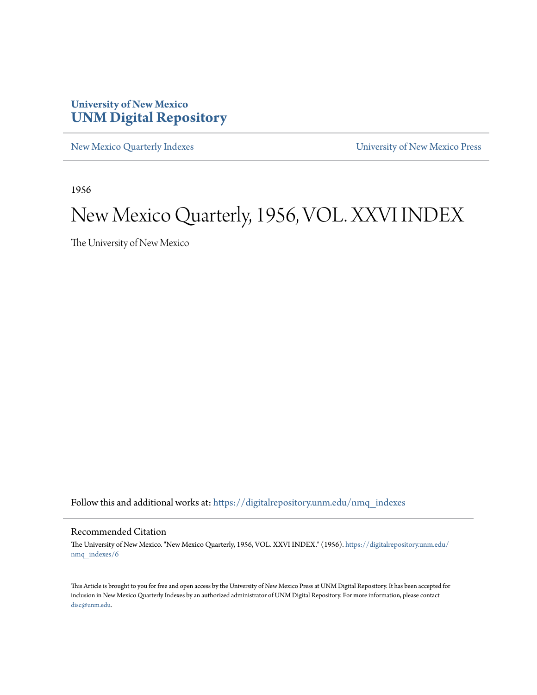### **University of New Mexico [UNM Digital Repository](https://digitalrepository.unm.edu?utm_source=digitalrepository.unm.edu%2Fnmq_indexes%2F6&utm_medium=PDF&utm_campaign=PDFCoverPages)**

[New Mexico Quarterly Indexes](https://digitalrepository.unm.edu/nmq_indexes?utm_source=digitalrepository.unm.edu%2Fnmq_indexes%2F6&utm_medium=PDF&utm_campaign=PDFCoverPages) [University of New Mexico Press](https://digitalrepository.unm.edu/press?utm_source=digitalrepository.unm.edu%2Fnmq_indexes%2F6&utm_medium=PDF&utm_campaign=PDFCoverPages)

1956

### New Mexico Quarterly, 1956, VOL. XXVI INDEX

The University of New Mexico

Follow this and additional works at: [https://digitalrepository.unm.edu/nmq\\_indexes](https://digitalrepository.unm.edu/nmq_indexes?utm_source=digitalrepository.unm.edu%2Fnmq_indexes%2F6&utm_medium=PDF&utm_campaign=PDFCoverPages)

#### Recommended Citation

The University of New Mexico. "New Mexico Quarterly, 1956, VOL. XXVI INDEX." (1956). [https://digitalrepository.unm.edu/](https://digitalrepository.unm.edu/nmq_indexes/6?utm_source=digitalrepository.unm.edu%2Fnmq_indexes%2F6&utm_medium=PDF&utm_campaign=PDFCoverPages) [nmq\\_indexes/6](https://digitalrepository.unm.edu/nmq_indexes/6?utm_source=digitalrepository.unm.edu%2Fnmq_indexes%2F6&utm_medium=PDF&utm_campaign=PDFCoverPages)

This Article is brought to you for free and open access by the University of New Mexico Press at UNM Digital Repository. It has been accepted for inclusion in New Mexico Quarterly Indexes by an authorized administrator of UNM Digital Repository. For more information, please contact [disc@unm.edu](mailto:disc@unm.edu).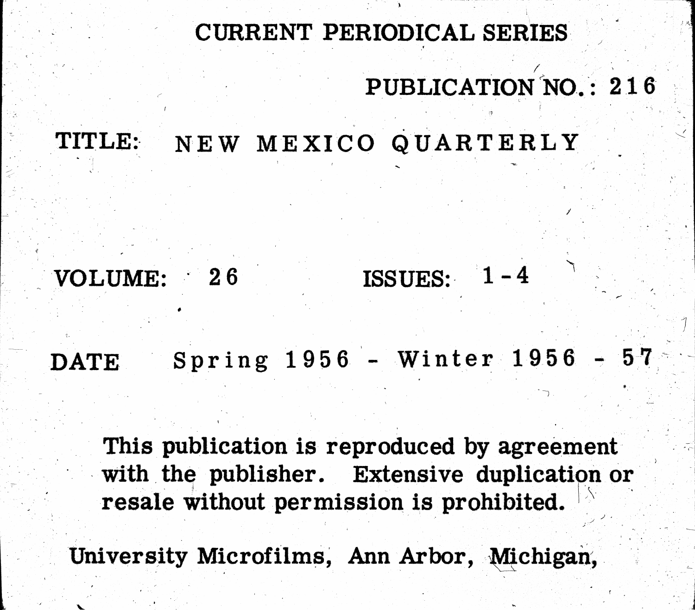## CURRENT PERIODICAL SERIES

### NEW MEXICO QUARTERLY TITLE:

### VOLUME: 26

DATE.

## This publication is reproduced by agreement with the publisher. Extensive duplication or resale without permission is prohibited.

University Microfilms, Ann Arbor, Michigan,

# PUBLICATION NO.: 216

## ISSUES: 1-4

### Spring 1956 - Winter 1956 - 57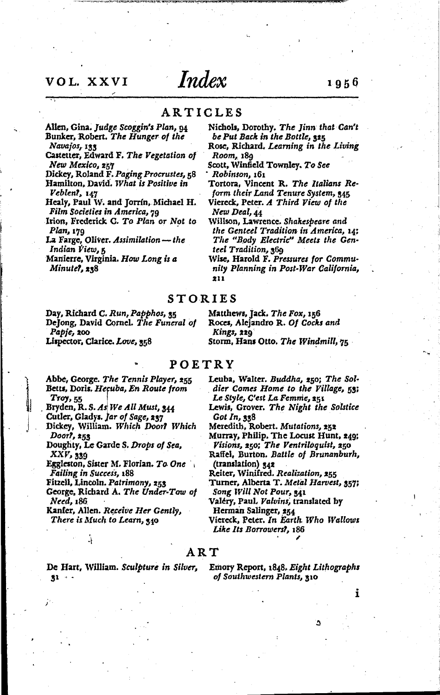### VOL. XXVI

### Index

ARTICLES

Room, 189

Robinson, 161

New Deal, 44

211

teel Tradition, 369

- Allen, Gina. Judge Scoggin's Plan, 94 Bunker, Robert. The Hunger of the Navajos, 133
- Castetter, Edward F. The Vegetation of New Mexico, 257

Dickey, Roland F. Paging Procrustes, 58 Hamilton, David. What is Positive in Veblen?, 147

Healy, Paul W. and Jorrín, Michael H. Film Societies in America, 79

- Irion, Frederick G. To Plan or Not to Plan, 179
- La Farge, Oliver. Assimilation-the Indian View, 5

Manierre, Virginia. How Long is a Minutel, 238

Day, Richard C. Run, Papphos, 35 DeJong, David Cornel. The Funeral of Papje, 200 Lispector, Clarice. Love, 358

Matthews, Jack. The Fox, 156 Roces, Alejandro R. Of Cocks and Kings, 229

Storm, Hans Otto. The Windmill, 75

Nichols, Dorothy. The Jinn that Can't be Put Back in the Bottle, 325

Rose, Richard. Learning in the Living

Tortora, Vincent R. The Italians Re-

form their Land Tenure System, 345

Viereck, Peter. A Third View of the

Willson, Lawrence. Shakespeare and the Genteel Tradition in America, 14;

The "Body Electric" Meets the Gen-

Wise, Harold F. Pressures for Commu-

nity Planning in Post-War California,

Scott, Winfield Townley. To See

#### POETRY

Abbe, George. The Tennis Player, 255 Betts, Doris, Hecuba, En Route from  $T$ roy,  $55$ 

Bryden, R. S. As We All Must, 344 Cutler, Gladys. Jar of Sage, 237

Dickey, William. Which Door? Which Door?, 253

Doughty, Le Garde S. Drops of Sea, XXV, 339

Eggleston, Sister M. Florian. To One **Failing in Success, 188** 

Fitzell, Lincoln. Patrimony, 253

Ÿ

George, Richard A. The Under-Tow of Need, 186

Kanfer, Allen. Receive Her Gently, There is Much to Learn, 340

Le Style, C'est La Femme, 251 Lewis, Grover. The Night the Solstice Got In, 338

Leuba, Walter. Buddha, 250; The Sol-

dier Comes Home to the Village, 53;

Meredith, Robert. Mutations, 252

- Murray, Philip. The Locust Hunt, 249; Visions, 250; The Ventriloquist, 250
- Raffel, Burton. Battle of Brunanburh, (translation) 342

Reiter, Winifred. Realization, 255

- Turner, Alberta T. Metal Harvest, 357; Song Will Not Pour, 341
- Valéry, Paul. Valvins, translated by

Herman Salinger, 254

Viereck, Peter. In Earth Who Wallows Like Its Borrowers?, 186

#### $\overline{\rm A}$  R  $\overline{\rm T}$

De Hart, William. Sculpture in Silver,  $31 - -$ 

Emory Report, 1848. Eight Lithographs of Southwestern Plants, 310

٥

i

### 1956